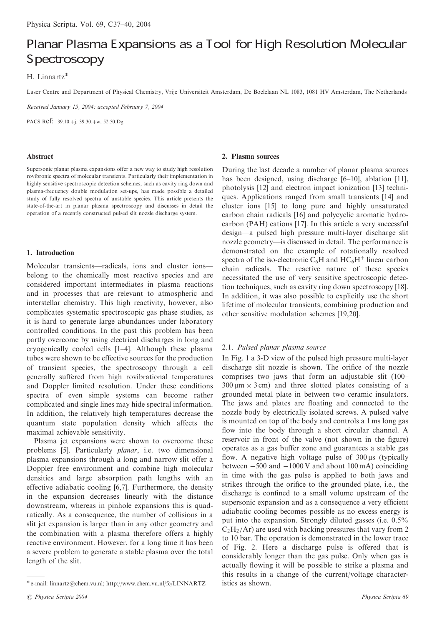# Planar Plasma Expansions as a Tool for High Resolution Molecular Spectroscopy

# H. Linnartz

Laser Centre and Department of Physical Chemistry, Vrije Universiteit Amsterdam, De Boelelaan NL 1083, 1081 HV Amsterdam, The Netherlands

Received January 15, 2004; accepted February 7, 2004

PACS Ref:  $39.10.+j$ ,  $39.30.+w$ ,  $52.50.Dg$ 

#### Abstract

Supersonic planar plasma expansions offer a new way to study high resolution rovibronic spectra of molecular transients. Particularly their implementation in highly sensitive spectroscopic detection schemes, such as cavity ring down and plasma-frequency double modulation set-ups, has made possible a detailed study of fully resolved spectra of unstable species. This article presents the state-of-the-art in planar plasma spectroscopy and discusses in detail the operation of a recently constructed pulsed slit nozzle discharge system.

# 1. Introduction

Molecular transients—radicals, ions and cluster ions belong to the chemically most reactive species and are considered important intermediates in plasma reactions and in processes that are relevant to atmospheric and interstellar chemistry. This high reactivity, however, also complicates systematic spectroscopic gas phase studies, as it is hard to generate large abundances under laboratory controlled conditions. In the past this problem has been partly overcome by using electrical discharges in long and cryogenically cooled cells [1–4]. Although these plasma tubes were shown to be effective sources for the production of transient species, the spectroscopy through a cell generally suffered from high rovibrational temperatures and Doppler limited resolution. Under these conditions spectra of even simple systems can become rather complicated and single lines may hide spectral information. In addition, the relatively high temperatures decrease the quantum state population density which affects the maximal achievable sensitivity.

Plasma jet expansions were shown to overcome these problems [5]. Particularly planar, i.e. two dimensional plasma expansions through a long and narrow slit offer a Doppler free environment and combine high molecular densities and large absorption path lengths with an effective adiabatic cooling [6,7]. Furthermore, the density in the expansion decreases linearly with the distance downstream, whereas in pinhole expansions this is quadratically. As a consequence, the number of collisions in a slit jet expansion is larger than in any other geometry and the combination with a plasma therefore offers a highly reactive environment. However, for a long time it has been a severe problem to generate a stable plasma over the total length of the slit.

2. Plasma sources

During the last decade a number of planar plasma sources has been designed, using discharge [6–10], ablation [11], photolysis [12] and electron impact ionization [13] techniques. Applications ranged from small transients [14] and cluster ions [15] to long pure and highly unsaturated carbon chain radicals [16] and polycyclic aromatic hydrocarbon (PAH) cations [17]. In this article a very successful design—a pulsed high pressure multi-layer discharge slit nozzle geometry—is discussed in detail. The performance is demonstrated on the example of rotationally resolved spectra of the iso-electronic  $C_6H$  and  $HC_6H^+$  linear carbon chain radicals. The reactive nature of these species necessitated the use of very sensitive spectroscopic detection techniques, such as cavity ring down spectroscopy [18]. In addition, it was also possible to explicitly use the short lifetime of molecular transients, combining production and other sensitive modulation schemes [19,20].

# 2.1. Pulsed planar plasma source

In Fig. 1 a 3-D view of the pulsed high pressure multi-layer discharge slit nozzle is shown. The orifice of the nozzle comprises two jaws that form an adjustable slit  $(100 300 \,\mu\text{m} \times 3 \,\text{cm}$  and three slotted plates consisting of a grounded metal plate in between two ceramic insulators. The jaws and plates are floating and connected to the nozzle body by electrically isolated screws. A pulsed valve is mounted on top of the body and controls a 1 ms long gas flow into the body through a short circular channel. A reservoir in front of the valve (not shown in the figure) operates as a gas buffer zone and guarantees a stable gas flow. A negative high voltage pulse of  $300 \,\mu s$  (typically between  $-500$  and  $-1000$  V and about 100 mA) coinciding in time with the gas pulse is applied to both jaws and strikes through the orifice to the grounded plate, i.e., the discharge is confined to a small volume upstream of the supersonic expansion and as a consequence a very efficient adiabatic cooling becomes possible as no excess energy is put into the expansion. Strongly diluted gasses (i.e. 0.5%  $C_2H_2/Ar$ ) are used with backing pressures that vary from 2 to 10 bar. The operation is demonstrated in the lower trace of Fig. 2. Here a discharge pulse is offered that is considerably longer than the gas pulse. Only when gas is actually flowing it will be possible to strike a plasma and this results in a change of the current/voltage character-

istics as shown. e-mail: linnartz@chem.vu.nl; http://www.chem.vu.nl/fc/LINNARTZ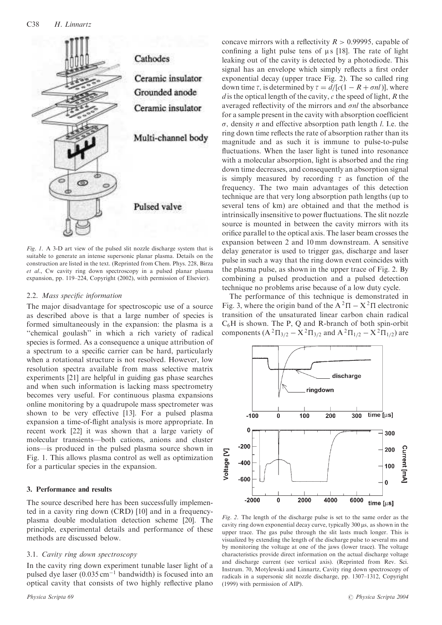

Fig. 1. A 3-D art view of the pulsed slit nozzle discharge system that is suitable to generate an intense supersonic planar plasma. Details on the construction are listed in the text. (Reprinted from Chem. Phys. 228, Birza et al., Cw cavity ring down spectroscopy in a pulsed planar plasma expansion, pp. 119–224, Copyright (2002), with permission of Elsevier).

# 2.2. Mass specific information

The major disadvantage for spectroscopic use of a source as described above is that a large number of species is formed simultaneously in the expansion: the plasma is a ''chemical goulash'' in which a rich variety of radical species is formed. As a consequence a unique attribution of a spectrum to a specific carrier can be hard, particularly when a rotational structure is not resolved. However, low resolution spectra available from mass selective matrix experiments [21] are helpful in guiding gas phase searches and when such information is lacking mass spectrometry becomes very useful. For continuous plasma expansions online monitoring by a quadrupole mass spectrometer was shown to be very effective [13]. For a pulsed plasma expansion a time-of-flight analysis is more appropriate. In recent work [22] it was shown that a large variety of molecular transients—both cations, anions and cluster ions—is produced in the pulsed plasma source shown in Fig. 1. This allows plasma control as well as optimization for a particular species in the expansion.

# 3. Performance and results

The source described here has been successfully implemented in a cavity ring down (CRD) [10] and in a frequencyplasma double modulation detection scheme [20]. The principle, experimental details and performance of these methods are discussed below.

# 3.1. Cavity ring down spectroscopy

In the cavity ring down experiment tunable laser light of a pulsed dye laser  $(0.035 \text{ cm}^{-1}$  bandwidth) is focused into an optical cavity that consists of two highly reflective plano

concave mirrors with a reflectivity  $R > 0.99995$ , capable of confining a light pulse tens of  $\mu$  s [18]. The rate of light leaking out of the cavity is detected by a photodiode. This signal has an envelope which simply reflects a first order exponential decay (upper trace Fig. 2). The so called ring down time  $\tau$ , is determined by  $\tau = d/[c(1 - R + \sigma n l)]$ , where  $d$  is the optical length of the cavity,  $c$  the speed of light,  $R$  the averaged reflectivity of the mirrors and  $\sigma nl$  the absorbance for a sample present in the cavity with absorption coefficient  $\sigma$ , density *n* and effective absorption path length *l*. I.e. the ring down time reflects the rate of absorption rather than its magnitude and as such it is immune to pulse-to-pulse fluctuations. When the laser light is tuned into resonance with a molecular absorption, light is absorbed and the ring down time decreases, and consequently an absorption signal is simply measured by recording  $\tau$  as function of the frequency. The two main advantages of this detection technique are that very long absorption path lengths (up to several tens of km) are obtained and that the method is intrinsically insensitive to power fluctuations. The slit nozzle source is mounted in between the cavity mirrors with its orifice parallel to the optical axis. The laser beam crosses the expansion between 2 and 10 mm downstream. A sensitive delay generator is used to trigger gas, discharge and laser pulse in such a way that the ring down event coincides with the plasma pulse, as shown in the upper trace of Fig. 2. By combining a pulsed production and a pulsed detection technique no problems arise because of a low duty cycle.

The performance of this technique is demonstrated in Fig. 3, where the origin band of the  $A^2\Pi - X^2\Pi$  electronic transition of the unsaturated linear carbon chain radical  $C_6H$  is shown. The P, Q and R-branch of both spin-orbit components  $(A^{2}\Pi_{3/2} - X^{2}\Pi_{3/2}$  and  $A^{2}\Pi_{1/2} - X^{2}\Pi_{1/2}$ ) are



Fig. 2. The length of the discharge pulse is set to the same order as the cavity ring down exponential decay curve, typically 300  $\mu$ s, as shown in the upper trace. The gas pulse through the slit lasts much longer. This is visualized by extending the length of the discharge pulse to several ms and by monitoring the voltage at one of the jaws (lower trace). The voltage characteristics provide direct information on the actual discharge voltage and discharge current (see vertical axis). (Reprinted from Rev. Sci. Instrum. 70, Motylewski and Linnartz, Cavity ring down spectroscopy of radicals in a supersonic slit nozzle discharge, pp. 1307–1312, Copyright (1999) with permission of AIP).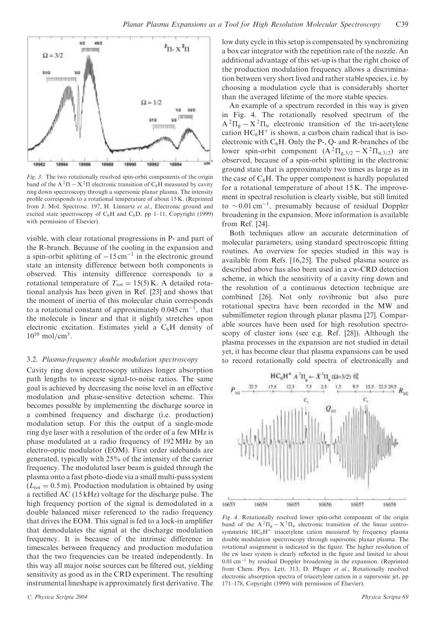

Fig. 3. The two rotationally resolved spin-orbit components of the origin band of the  $A^2\Pi - X^2\Pi$  electronic transition of  $C_6H$  measured by cavity ring down spectroscopy through a supersonic planar plasma. The intensity profile corresponds to a rotational temperature of about 15 K. (Reprinted from J. Mol. Spectrosc. 197, H. Linnartz et al., Electronic ground and excited state spectroscopy of  $C_6H$  and  $C_6D$ , pp 1–11, Copyright (1999) with permission of Elsevier).

visible, with clear rotational progressions in P- and part of the R-branch. Because of the cooling in the expansion and a spin-orbit splitting of  $-15 \text{ cm}^{-1}$  in the electronic ground state an intensity difference between both components is observed. This intensity difference corresponds to a rotational temperature of  $T_{\text{rot}} = 15(5)$  K. A detailed rotational analysis has been given in Ref. [23] and shows that the moment of inertia of this molecular chain corresponds to a rotational constant of approximately  $0.045 \text{ cm}^{-1}$ , that the molecule is linear and that it slightly stretches upon electronic excitation. Estimates yield a C6H density of  $10^{10}$  mol/cm<sup>3</sup>.

# 3.2. Plasma-frequency double modulation spectroscopy

Cavity ring down spectroscopy utilizes longer absorption path lengths to increase signal-to-noise ratios. The same goal is achieved by decreasing the noise level in an effective modulation and phase-sensitive detection scheme. This becomes possible by implementing the discharge source in a combined frequency and discharge (i.e. production) modulation setup. For this the output of a single-mode ring dye laser with a resolution of the order of a few MHz is phase modulated at a radio frequency of 192 MHz by an electro-optic modulator (EOM). First order sidebands are generated, typically with 25% of the intensity of the carrier frequency. The modulated laser beam is guided through the plasma onto a fast photo-diode via a small multi-pass system  $(L_{\text{tot}} = 0.5 \text{ m})$ . Production modulation is obtained by using a rectified AC (15 kHz) voltage for the discharge pulse. The high frequency portion of the signal is demodulated in a double balanced mixer referenced to the radio frequency that drives the EOM. This signal is fed to a lock-in amplifier that demodulates the signal at the discharge modulation frequency. It is because of the intrinsic difference in timescales between frequency and production modulation that the two frequencies can be treated independently. In this way all major noise sources can be filtered out, yielding sensitivity as good as in the CRD experiment. The resulting instrumental lineshape is approximately first derivative. The low duty cycle in this setup is compensated by synchronizing a box car integrator with the repetition rate of the nozzle. An additional advantage of this set-up is that the right choice of the production modulation frequency allows a discrimination between very short lived and rather stable species, i.e. by choosing a modulation cycle that is considerably shorter than the averaged lifetime of the more stable species.

An example of a spectrum recorded in this way is given in Fig. 4. The rotationally resolved spectrum of the  $A^{2}\Pi_{g} - X^{2}\Pi_{u}$  electronic transition of the tri-acetylene cation  $HC_6H^+$  is shown, a carbon chain radical that is isoelectronic with  $C_6H$ . Only the P-, Q- and R-branches of the lower spin-orbit component  $(A^{2}\Pi_{g,3/2} - X^{2}\Pi_{u,3/2})$  are observed, because of a spin-orbit splitting in the electronic ground state that is approximately two times as large as in the case of  $C_6H$ . The upper component is hardly populated for a rotational temperature of about 15 K. The improvement in spectral resolution is clearly visible, but still limited to  $\sim$  0.01 cm<sup>-1</sup>, presumably because of residual Doppler broadening in the expansion. More information is available from Ref. [24].

Both techniques allow an accurate determination of molecular parameters, using standard spectroscopic fitting routines. An overview for species studied in this way is available from Refs. [16,25]. The pulsed plasma source as described above has also been used in a cw-CRD detection scheme, in which the sensitivity of a cavity ring down and the resolution of a continuous detection technique are combined [26]. Not only rovibronic but also pure rotational spectra have been recorded in the MW and submillimeter region through planar plasma [27]. Comparable sources have been used for high resolution spectroscopy of cluster ions (see e.g. Ref. [28]). Although the plasma processes in the expansion are not studied in detail yet, it has become clear that plasma expansions can be used to record rotationally cold spectra of electronically and



Fig. 4. Rotationally resolved lower spin-orbit component of the origin band of the  $A^2\Pi_{\sigma} - X^2\Pi_{\sigma}$  electronic transition of the linear centrosymmetric  $HC_6H^+$  triacetylene cation measured by frequency plasma double modulation spectroscopy through supersonic planar plasma. The rotational assignment is indicated in the figure. The higher resolution of the cw laser system is clearly reflected in the figure and limited to about  $0.01 \text{ cm}^{-1}$  by residual Doppler broadening in the expansion. (Reprinted from Chem. Phys. Lett. 313, D. Pfluger et al., Rotationally resolved electronic absorption spectra of triacetylene cation in a supersonic jet, pp 171–178, Copyright (1999) with permission of Elsevier).